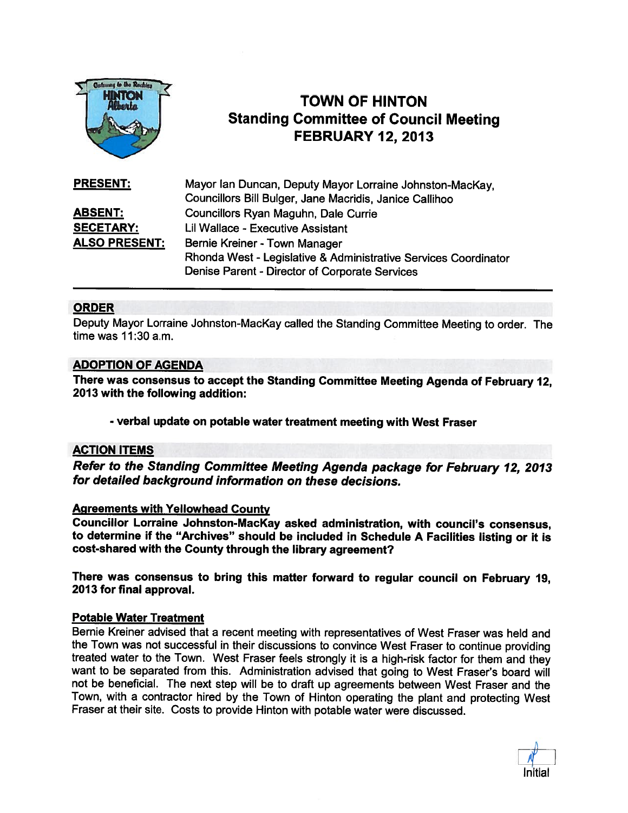

# TOWN OF HINTON Standing Committee of Council Meeting FEBRUARY 12, 2013

| <b>PRESENT:</b>      | Mayor Ian Duncan, Deputy Mayor Lorraine Johnston-MacKay,        |
|----------------------|-----------------------------------------------------------------|
|                      | Councillors Bill Bulger, Jane Macridis, Janice Callihoo         |
| <b>ABSENT:</b>       | Councillors Ryan Maguhn, Dale Currie                            |
| <b>SECETARY:</b>     | Lil Wallace - Executive Assistant                               |
| <b>ALSO PRESENT:</b> | Bernie Kreiner - Town Manager                                   |
|                      | Rhonda West - Legislative & Administrative Services Coordinator |
|                      | Denise Parent - Director of Corporate Services                  |

### ORDER

Deputy Mayor Lorraine Johnston-MacKay called the Standing Committee Meeting to order. The time was 11:30 a.m.

#### ADOPTION OF AGENDA

There was consensus to accept the Standing Committee Meeting Agenda of February 12, 2013 with the following addition:

- verbal update on potable water treatment meeting with West Fraser

#### ACTION ITEMS

Refer to the Standing Committee Meeting Agenda package for February 12, <sup>2013</sup> for detailed background information on these decisions.

#### Agreements with Yellowhead County

Councillor Lorraine Johnston-Mackay asked administration, with council's consensus, to determine if the "Archives" should be included in Schedule <sup>A</sup> Facilities listing or it is cost-shared with the County through the library agreement?

There was consensus to bring this matter forward to regular council on February 19, 2013 for final approval.

#### Potable Water Treatment

Bernie Kreiner advised that <sup>a</sup> recent meeting with representatives of West Fraser was held and the Town was not successful in their discussions to convince West Fraser to continue providing treated water to the Town. West Fraser feels strongly it is <sup>a</sup> high-risk factor for them and they want to be separated from this. Administration advised that going to West Fraser's board will not be beneficial. The next step will be to draft up agreements between West Fraser and the Town, with <sup>a</sup> contractor hired by the Town of Hinton operating the <sup>p</sup>lant and protecting West Fraser at their site. Costs to provide Hinton with potable water were discussed.